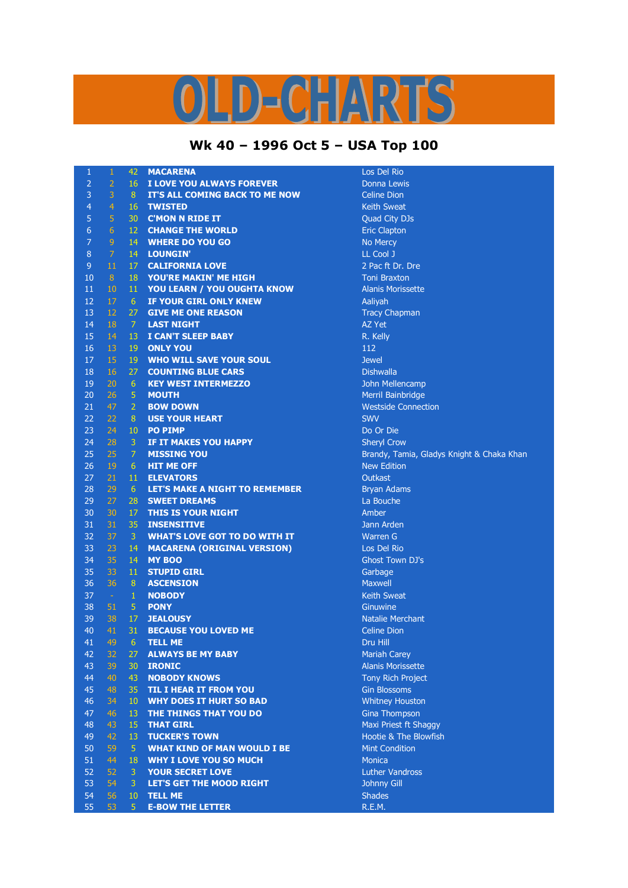## S  $D = C = \sqrt{N}$

## **Wk 40 – 1996 Oct 5 – USA Top 100**

| $\mathbf{1}$   | 1              | 42              | <b>MACARENA</b>                                     | Los Del Rio                                   |
|----------------|----------------|-----------------|-----------------------------------------------------|-----------------------------------------------|
| $\overline{2}$ | $\overline{2}$ | 16              | I LOVE YOU ALWAYS FOREVER                           | Donna Lewis                                   |
| 3              | 3              | 8               | IT'S ALL COMING BACK TO ME NOW                      | <b>Celine Dion</b>                            |
| $\overline{4}$ | $\overline{4}$ | 16              | <b>TWISTED</b>                                      | <b>Keith Sweat</b>                            |
| 5              | 5              | 30              | <b>C'MON N RIDE IT</b>                              | Quad City DJs                                 |
| 6              | $\overline{6}$ | 12              | <b>CHANGE THE WORLD</b>                             | <b>Eric Clapton</b>                           |
| $\overline{7}$ | 9              | 14              | <b>WHERE DO YOU GO</b>                              | No Mercy                                      |
| 8              | $\overline{7}$ | 14              | <b>LOUNGIN'</b>                                     | LL Cool J                                     |
| $\overline{9}$ | 11             | 17              | <b>CALIFORNIA LOVE</b>                              | 2 Pac ft Dr. Dre                              |
| 10             | 8              | 18              | YOU'RE MAKIN' ME HIGH                               | <b>Toni Braxton</b>                           |
| 11             | 10             | 11              | YOU LEARN / YOU OUGHTA KNOW                         | <b>Alanis Morissette</b>                      |
| 12             | 17             | 6               | <b>IF YOUR GIRL ONLY KNEW</b>                       | Aaliyah                                       |
| 13             | 12             | 27              | <b>GIVE ME ONE REASON</b>                           | <b>Tracy Chapman</b>                          |
| 14             | 18             | 7               | <b>LAST NIGHT</b>                                   | <b>AZ Yet</b>                                 |
| 15             | 14             | 13              | I CAN'T SLEEP BABY                                  | R. Kelly                                      |
| 16             | 13             | 19              | <b>ONLY YOU</b>                                     | 112                                           |
| 17             | 15             | 19              | <b>WHO WILL SAVE YOUR SOUL</b>                      | <b>Jewel</b>                                  |
| 18             | 16             | 27              | <b>COUNTING BLUE CARS</b>                           | <b>Dishwalla</b>                              |
| 19             | 20             | 6               | <b>KEY WEST INTERMEZZO</b>                          | John Mellencamp                               |
| 20             | 26             | 5               | <b>MOUTH</b>                                        | Merril Bainbridge                             |
| 21             | 47             | $\overline{2}$  | <b>BOW DOWN</b>                                     | <b>Westside Connect</b>                       |
| 22             | 22             | 8               | <b>USE YOUR HEART</b>                               | <b>SWV</b>                                    |
| 23             | 24             | 10              | <b>PO PIMP</b>                                      | Do Or Die                                     |
| 24             | 28             | 3               | <b>IF IT MAKES YOU HAPPY</b>                        | <b>Sheryl Crow</b>                            |
| 25             | 25             | $\overline{7}$  | <b>MISSING YOU</b>                                  | Brandy, Tamia, G                              |
| 26             | 19             | 6               | <b>HIT ME OFF</b>                                   | <b>New Edition</b>                            |
| 27             | 21             | 11              | <b>ELEVATORS</b>                                    | Outkast                                       |
| 28             | 29             | $6\phantom{.}6$ | <b>LET'S MAKE A NIGHT TO REMEMBER</b>               |                                               |
| 29             | 27             | 28              | <b>SWEET DREAMS</b>                                 | <b>Bryan Adams</b><br>La Bouche               |
| 30             | 30             | 17              | THIS IS YOUR NIGHT                                  | Amber                                         |
| 31             | 31             | 35              | <b>INSENSITIVE</b>                                  | Jann Arden                                    |
| 32             | 37             | 3               | <b>WHAT'S LOVE GOT TO DO WITH IT</b>                | <b>Warren G</b>                               |
|                |                |                 |                                                     |                                               |
| 33<br>34       | 23<br>35       | 14              | <b>MACARENA (ORIGINAL VERSION)</b><br><b>MY BOO</b> | Los Del Rio                                   |
| 35             | 33             | 14<br>11        | <b>STUPID GIRL</b>                                  | <b>Ghost Town DJ's</b>                        |
|                |                |                 |                                                     | Garbage                                       |
| 36             | 36             | $\bf 8$         | <b>ASCENSION</b>                                    | <b>Maxwell</b>                                |
| 37             | $\sim$         | $\mathbf{1}$    | <b>NOBODY</b>                                       | <b>Keith Sweat</b>                            |
| 38             | 51             | 5               | <b>PONY</b>                                         | Ginuwine                                      |
| 39<br>40       | 38<br>41       | 17<br>31        | <b>JEALOUSY</b><br><b>BECAUSE YOU LOVED ME</b>      | <b>Natalie Merchant</b><br><b>Celine Dion</b> |
|                |                |                 |                                                     |                                               |
| 41             | 49             | $6\phantom{1}$  | <b>TELL ME</b>                                      | Dru Hill                                      |
| 42             | 32             | 27              | <b>ALWAYS BE MY BABY</b>                            | <b>Mariah Carey</b>                           |
| 43             | 39             | 30              | <b>IRONIC</b>                                       | <b>Alanis Morissette</b>                      |
| 44             | 40             | 43              | <b>NOBODY KNOWS</b>                                 | <b>Tony Rich Project</b>                      |
| 45             | 48             | 35              | <b>TIL I HEAR IT FROM YOU</b>                       | <b>Gin Blossoms</b>                           |
| 46             | 34             | 10              | <b>WHY DOES IT HURT SO BAD</b>                      | <b>Whitney Houston</b>                        |
| 47             | 46             | 13              | THE THINGS THAT YOU DO                              | <b>Gina Thompson</b>                          |
| 48             | 43             | 15              | <b>THAT GIRL</b>                                    | Maxi Priest ft Sha                            |
| 49             | 42             | 13              | <b>TUCKER'S TOWN</b>                                | Hootie & The Blo                              |
| 50             | 59             | $\overline{5}$  | <b>WHAT KIND OF MAN WOULD I BE</b>                  | <b>Mint Condition</b>                         |
| 51             | 44             | 18              | <b>WHY I LOVE YOU SO MUCH</b>                       | <b>Monica</b>                                 |
| 52             | 52             | 3               | <b>YOUR SECRET LOVE</b>                             | Luther Vandross                               |
| 53             | 54             | $\mathbf{3}$    | LET'S GET THE MOOD RIGHT                            | Johnny Gill                                   |
| 54             | 56             | 10              | <b>TELL ME</b>                                      | <b>Shades</b>                                 |
| 55             | 53             | 5 <sup>°</sup>  | <b>E-BOW THE LETTER</b>                             | R.E.M.                                        |

onnection mia, Gladys Knight & Chaka Khan ft Shaggy he Blowfish